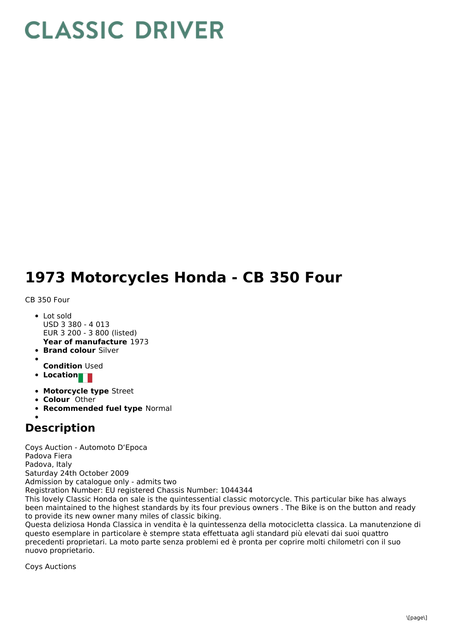## **CLASSIC DRIVER**

## **1973 Motorcycles Honda - CB 350 Four**

CB 350 Four

- **Year of manufacture** 1973 Lot sold USD 3 380 - 4 013 EUR 3 200 - 3 800 (listed)
- **Brand colour** Silver
- 
- **Condition** Used
- **Location**
- **Motorcycle type** Street
- **Colour** Other
- **Recommended fuel type** Normal

## **Description**

Coys Auction - Automoto D'Epoca Padova Fiera Padova, Italy Saturday 24th October 2009 Admission by catalogue only - admits two Registration Number: EU registered Chassis Number: 1044344 This lovely Classic Honda on sale is the quintessential classic motorcycle. This particular bike has always been maintained to the highest standards by its four previous owners . The Bike is on the button and ready to provide its new owner many miles of classic biking. Questa deliziosa Honda Classica in vendita è la quintessenza della motocicletta classica. La manutenzione di questo esemplare in particolare è stempre stata effettuata agli standard più elevati dai suoi quattro

precedenti proprietari. La moto parte senza problemi ed è pronta per coprire molti chilometri con il suo nuovo proprietario.

Coys Auctions